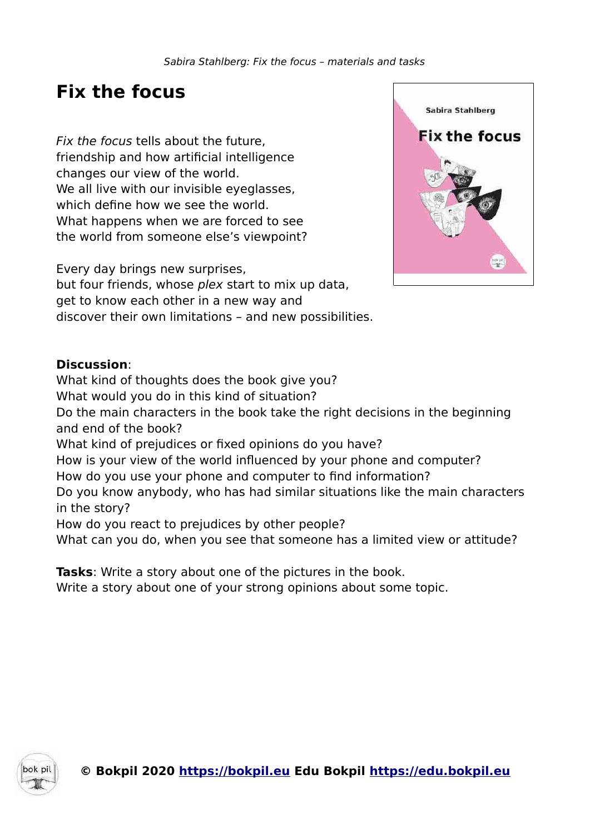# **Fix the focus**

Fix the focus tells about the future, friendship and how artificial intelligence changes our view of the world. We all live with our invisible eyeglasses, which define how we see the world. What happens when we are forced to see the world from someone else's viewpoint?

Every day brings new surprises, but four friends, whose plex start to mix up data, get to know each other in a new way and discover their own limitations – and new possibilities.



### **Discussion**:

What kind of thoughts does the book give you? What would you do in this kind of situation? Do the main characters in the book take the right decisions in the beginning and end of the book? What kind of prejudices or fixed opinions do you have? How is your view of the world influenced by your phone and computer? How do you use your phone and computer to find information? Do you know anybody, who has had similar situations like the main characters in the story? How do you react to prejudices by other people? What can you do, when you see that someone has a limited view or attitude?

**Tasks**: Write a story about one of the pictures in the book. Write a story about one of your strong opinions about some topic.

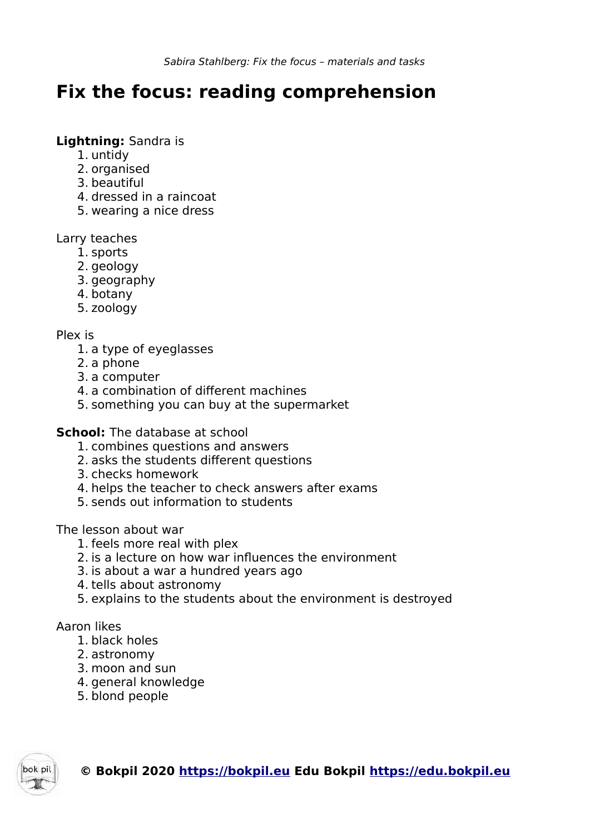# **Fix the focus: reading comprehension**

### **Lightning:** Sandra is

- 1. untidy
- 2. organised
- 3. beautiful
- 4. dressed in a raincoat
- 5. wearing a nice dress

## Larry teaches

- 1. sports
- 2. geology
- 3. geography
- 4. botany
- 5. zoology

# Plex is

- 1. a type of eyeglasses
- 2. a phone
- 3. a computer
- 4. a combination of different machines
- 5. something you can buy at the supermarket

# **School:** The database at school

- 1. combines questions and answers
- 2. asks the students different questions
- 3. checks homework
- 4. helps the teacher to check answers after exams
- 5. sends out information to students

# The lesson about war

- 1. feels more real with plex
- 2. is a lecture on how war influences the environment
- 3. is about a war a hundred years ago
- 4. tells about astronomy
- 5. explains to the students about the environment is destroyed

# Aaron likes

- 1. black holes
- 2. astronomy
- 3. moon and sun
- 4. general knowledge
- 5. blond people

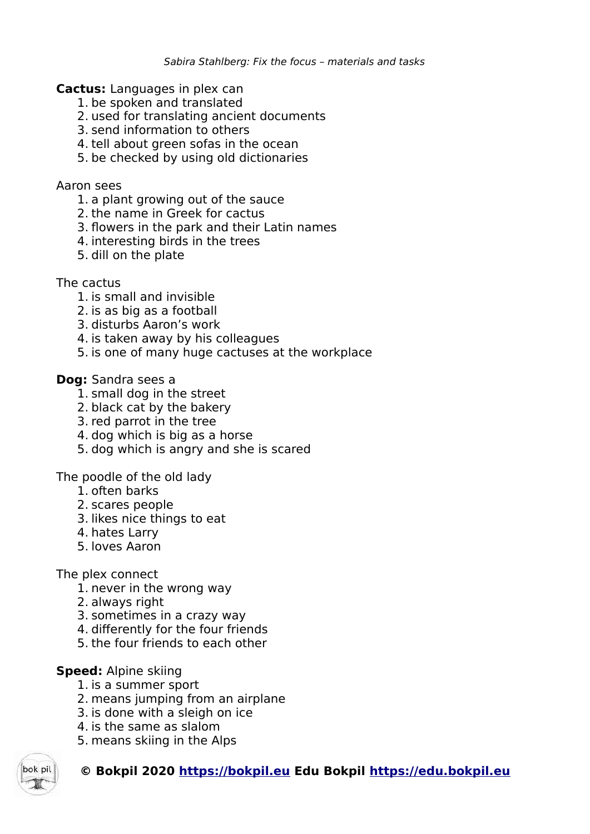**Cactus:** Languages in plex can

- 1. be spoken and translated
- 2. used for translating ancient documents
- 3. send information to others
- 4. tell about green sofas in the ocean
- 5. be checked by using old dictionaries

### Aaron sees

- 1. a plant growing out of the sauce
- 2. the name in Greek for cactus
- 3. flowers in the park and their Latin names
- 4. interesting birds in the trees
- 5. dill on the plate

The cactus

- 1. is small and invisible
- 2. is as big as a football
- 3. disturbs Aaron's work
- 4. is taken away by his colleagues
- 5. is one of many huge cactuses at the workplace

### **Dog:** Sandra sees a

- 1. small dog in the street
- 2. black cat by the bakery
- 3. red parrot in the tree
- 4. dog which is big as a horse
- 5. dog which is angry and she is scared

The poodle of the old lady

- 1. often barks
- 2. scares people
- 3. likes nice things to eat
- 4. hates Larry
- 5. loves Aaron

The plex connect

- 1. never in the wrong way
- 2. always right
- 3. sometimes in a crazy way
- 4. differently for the four friends
- 5. the four friends to each other

### **Speed:** Alpine skiing

- 1. is a summer sport
- 2. means jumping from an airplane
- 3. is done with a sleigh on ice
- 4. is the same as slalom
- 5. means skiing in the Alps

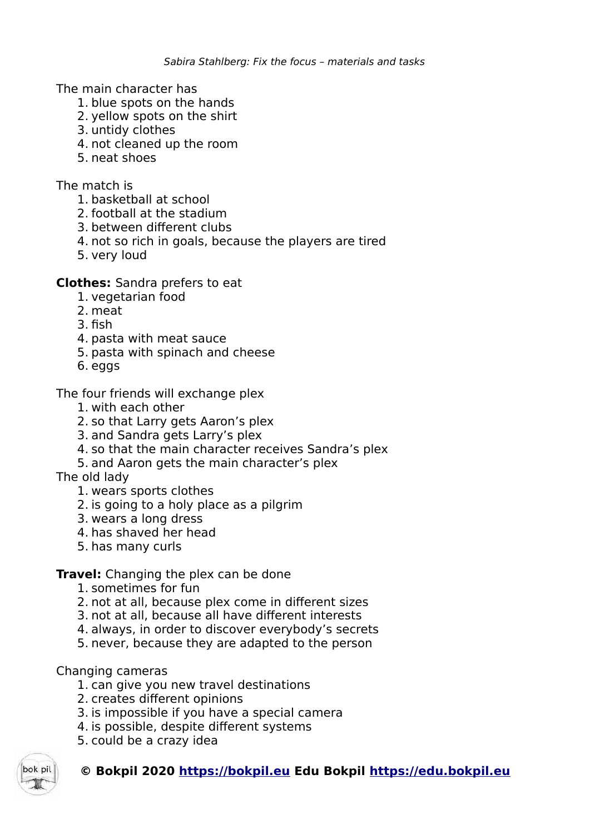The main character has

- 1. blue spots on the hands
- 2. yellow spots on the shirt
- 3. untidy clothes
- 4. not cleaned up the room
- 5. neat shoes

The match is

- 1. basketball at school
- 2. football at the stadium
- 3. between different clubs
- 4. not so rich in goals, because the players are tired
- 5. very loud

## **Clothes:** Sandra prefers to eat

- 1. vegetarian food
- 2. meat
- 3. fish
- 4. pasta with meat sauce
- 5. pasta with spinach and cheese
- 6. eggs

The four friends will exchange plex

- 1. with each other
- 2. so that Larry gets Aaron's plex
- 3. and Sandra gets Larry's plex
- 4. so that the main character receives Sandra's plex
- 5. and Aaron gets the main character's plex

The old lady

- 1. wears sports clothes
- 2. is going to a holy place as a pilgrim
- 3. wears a long dress
- 4. has shaved her head
- 5. has many curls

# **Travel:** Changing the plex can be done

- 1. sometimes for fun
- 2. not at all, because plex come in different sizes
- 3. not at all, because all have different interests
- 4. always, in order to discover everybody's secrets
- 5. never, because they are adapted to the person

# Changing cameras

- 1. can give you new travel destinations
- 2. creates different opinions
- 3. is impossible if you have a special camera
- 4. is possible, despite different systems
- 5. could be a crazy idea

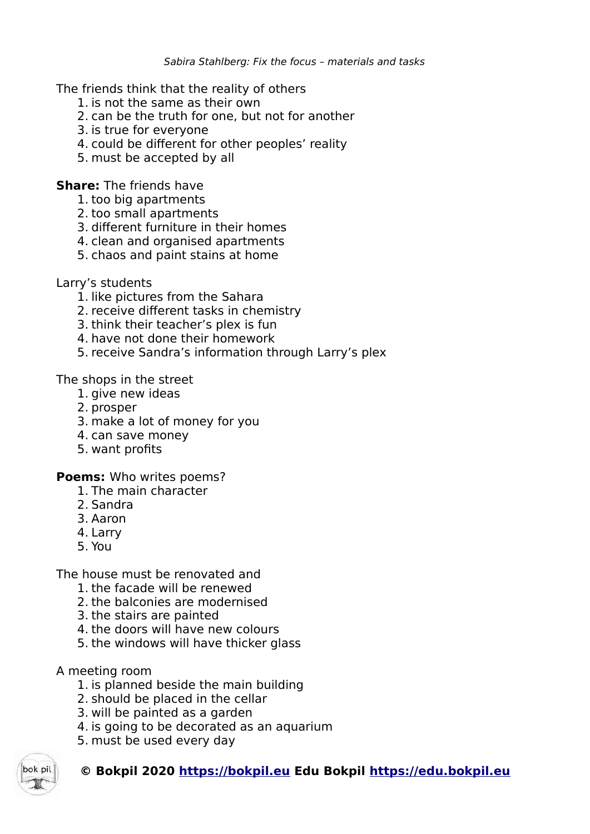The friends think that the reality of others

- 1. is not the same as their own
- 2. can be the truth for one, but not for another
- 3. is true for everyone
- 4. could be different for other peoples' reality
- 5. must be accepted by all

**Share:** The friends have

- 1. too big apartments
- 2. too small apartments
- 3. different furniture in their homes
- 4. clean and organised apartments
- 5. chaos and paint stains at home

## Larry's students

- 1. like pictures from the Sahara
- 2. receive different tasks in chemistry
- 3. think their teacher's plex is fun
- 4. have not done their homework
- 5. receive Sandra's information through Larry's plex

The shops in the street

- 1. give new ideas
- 2. prosper
- 3. make a lot of money for you
- 4. can save money
- 5. want profits

**Poems:** Who writes poems?

- 1. The main character
- 2. Sandra
- 3. Aaron
- 4. Larry
- 5. You

The house must be renovated and

- 1. the facade will be renewed
- 2. the balconies are modernised
- 3. the stairs are painted
- 4. the doors will have new colours
- 5. the windows will have thicker glass

# A meeting room

- 1. is planned beside the main building
- 2. should be placed in the cellar
- 3. will be painted as a garden
- 4. is going to be decorated as an aquarium
- 5. must be used every day

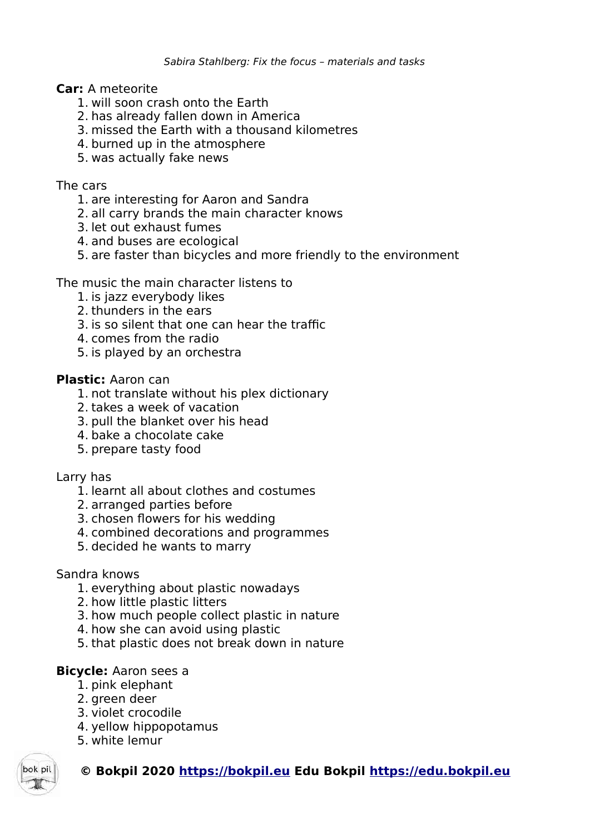### **Car:** A meteorite

- 1. will soon crash onto the Earth
- 2. has already fallen down in America
- 3. missed the Earth with a thousand kilometres
- 4. burned up in the atmosphere
- 5. was actually fake news

### The cars

- 1. are interesting for Aaron and Sandra
- 2. all carry brands the main character knows
- 3. let out exhaust fumes
- 4. and buses are ecological
- 5. are faster than bicycles and more friendly to the environment

The music the main character listens to

- 1. is jazz everybody likes
- 2. thunders in the ears
- 3. is so silent that one can hear the traffic
- 4. comes from the radio
- 5. is played by an orchestra

### **Plastic:** Aaron can

- 1. not translate without his plex dictionary
- 2. takes a week of vacation
- 3. pull the blanket over his head
- 4. bake a chocolate cake
- 5. prepare tasty food

#### Larry has

- 1. learnt all about clothes and costumes
- 2. arranged parties before
- 3. chosen flowers for his wedding
- 4. combined decorations and programmes
- 5. decided he wants to marry

#### Sandra knows

- 1. everything about plastic nowadays
- 2. how little plastic litters
- 3. how much people collect plastic in nature
- 4. how she can avoid using plastic
- 5. that plastic does not break down in nature

### **Bicycle:** Aaron sees a

- 1. pink elephant
- 2. green deer
- 3. violet crocodile
- 4. yellow hippopotamus
- 5. white lemur

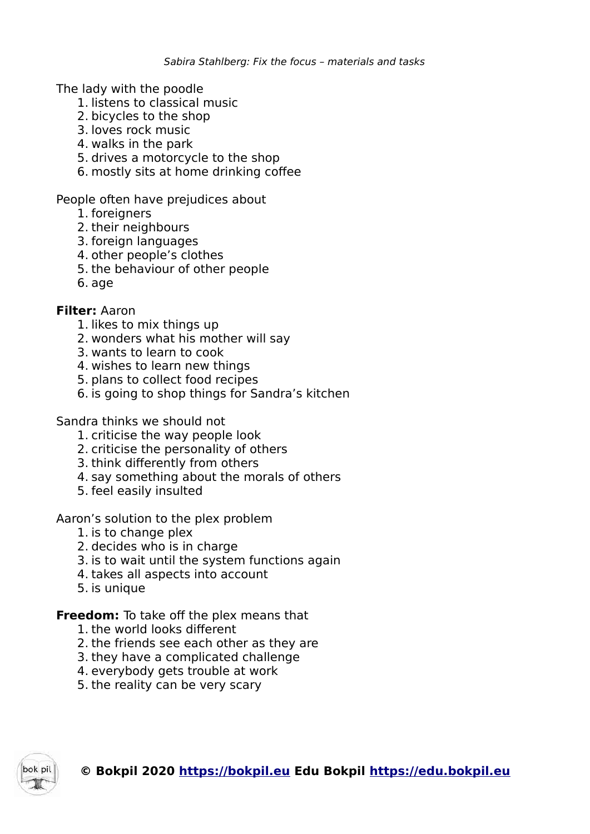The lady with the poodle

- 1. listens to classical music
- 2. bicycles to the shop
- 3. loves rock music
- 4. walks in the park
- 5. drives a motorcycle to the shop
- 6. mostly sits at home drinking coffee

People often have prejudices about

- 1. foreigners
- 2. their neighbours
- 3. foreign languages
- 4. other people's clothes
- 5. the behaviour of other people
- 6. age

## **Filter:** Aaron

- 1. likes to mix things up
- 2. wonders what his mother will say
- 3. wants to learn to cook
- 4. wishes to learn new things
- 5. plans to collect food recipes
- 6. is going to shop things for Sandra's kitchen

Sandra thinks we should not

- 1. criticise the way people look
- 2. criticise the personality of others
- 3. think differently from others
- 4. say something about the morals of others
- 5. feel easily insulted

Aaron's solution to the plex problem

- 1. is to change plex
- 2. decides who is in charge
- 3. is to wait until the system functions again
- 4. takes all aspects into account
- 5. is unique

### **Freedom:** To take off the plex means that

- 1. the world looks different
- 2. the friends see each other as they are
- 3. they have a complicated challenge
- 4. everybody gets trouble at work
- 5. the reality can be very scary

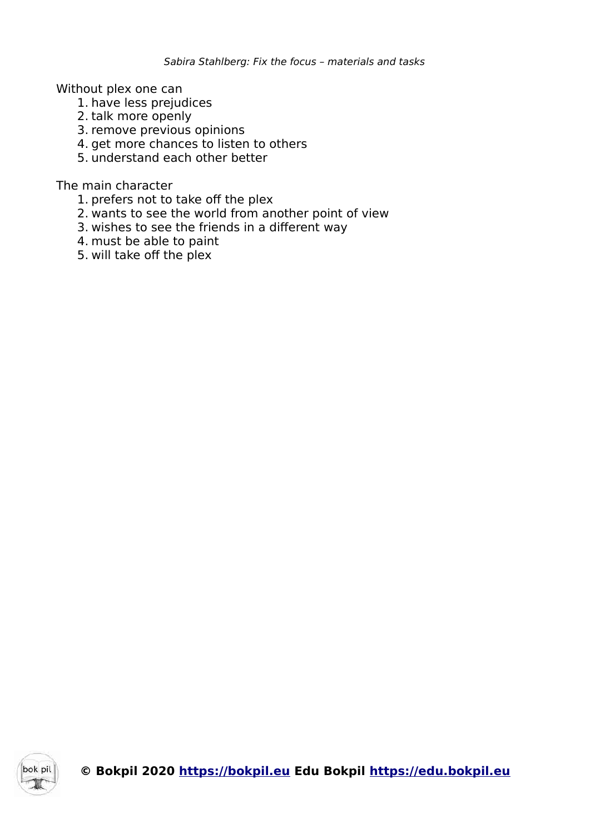Without plex one can

- 1. have less prejudices
- 2. talk more openly
- 3. remove previous opinions
- 4. get more chances to listen to others
- 5. understand each other better

The main character

- 1. prefers not to take off the plex
- 2. wants to see the world from another point of view
- 3. wishes to see the friends in a different way
- 4. must be able to paint
- 5. will take off the plex